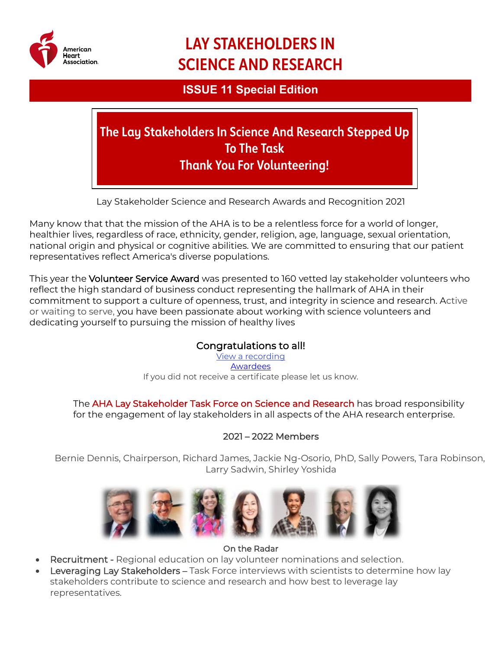

# **LAY STAKEHOLDERS IN SCIENCE AND RESEARCH**

# **ISSUE 11 Special Edition**

**The Lay Stakeholders In Science And Research Stepped Up To The Task Thank You For Volunteering!**

Lay Stakeholder Science and Research Awards and Recognition 2021

Many know that that the mission of the AHA is to be a relentless force for a world of longer, healthier lives, regardless of race, ethnicity, gender, religion, age, language, sexual orientation, national origin and physical or cognitive abilities. We are committed to ensuring that our patient representatives reflect America's diverse populations.

This year the Volunteer Service Award was presented to 160 vetted lay stakeholder volunteers who reflect the high standard of business conduct representing the hallmark of AHA in their commitment to support a culture of openness, trust, and integrity in science and research. Active or waiting to serve, you have been passionate about working with science volunteers and dedicating yourself to pursuing the mission of healthy lives

## Congratulations to all!

[View a recording](https://youtu.be/Z2n2v_Y-kz4) **[Awardees](https://professional.heart.org/-/media/PHD-Files/Research/Peer-Review/AHA-Lay-Stakeholders-Recognition-Ceremony.pdf)** If you did not receive a certificate please let us know.

The AHA Lay Stakeholder Task Force on Science and Research has broad responsibility for the engagement of lay stakeholders in all aspects of the AHA research enterprise.

#### 2021 – 2022 Members

Bernie Dennis, Chairperson, Richard James, Jackie Ng-Osorio, PhD, Sally Powers, Tara Robinson, Larry Sadwin, Shirley Yoshida



#### On the Radar

- Recruitment Regional education on lay volunteer nominations and selection.
- **Leveraging Lay Stakeholders Task Force interviews with scientists to determine how lay** stakeholders contribute to science and research and how best to leverage lay representatives.